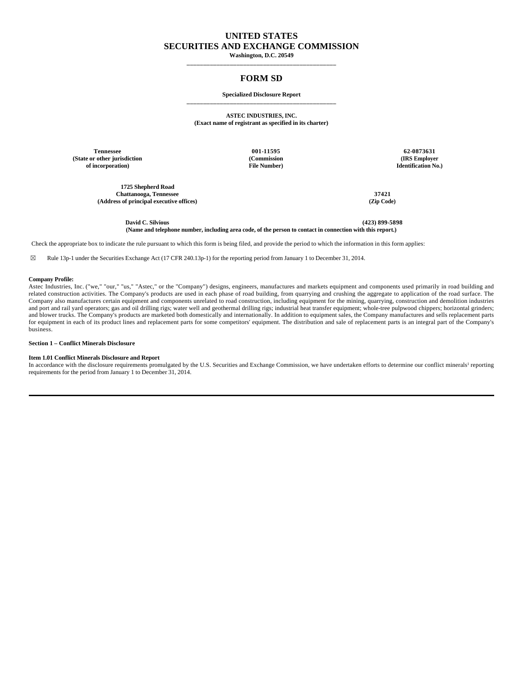# **UNITED STATES SECURITIES AND EXCHANGE COMMISSION**

**Washington, D.C. 20549 \_\_\_\_\_\_\_\_\_\_\_\_\_\_\_\_\_\_\_\_\_\_\_\_\_\_\_\_\_\_\_\_\_\_\_\_\_\_\_\_\_\_\_\_\_**

# **FORM SD**

#### **Specialized Disclosure Report \_\_\_\_\_\_\_\_\_\_\_\_\_\_\_\_\_\_\_\_\_\_\_\_\_\_\_\_\_\_\_\_\_\_\_\_\_\_\_\_\_\_\_\_\_**

**ASTEC INDUSTRIES, INC. (Exact name of registrant as specified in its charter)**

**Tennessee 001-11595 62-0873631 (State or other jurisdiction of incorporation)**

**1725 Shepherd Road Chattanooga, Tennessee 37421 (Address of principal executive offices) (Zip Code)**

**(Commission File Number)**

**(IRS Employer Identification No.)**

**David C. Silvious (423) 899-5898 (Name and telephone number, including area code, of the person to contact in connection with this report.)**

Check the appropriate box to indicate the rule pursuant to which this form is being filed, and provide the period to which the information in this form applies:

☒ Rule 13p-1 under the Securities Exchange Act (17 CFR 240.13p-1) for the reporting period from January 1 to December 31, 2014.

#### **Company Profile:**

Astec Industries, Inc. ("we," "our," "us," "Astec," or the "Company") designs, engineers, manufactures and markets equipment and components used primarily in road building and related construction activities. The Company's products are used in each phase of road building, from quarrying and crushing the aggregate to application of the road surface. The Company also manufactures certain equipment and components unrelated to road construction, including equipment for the mining, quarrying, construction and demolition industries and port and rail yard operators; gas and oil drilling rigs; water well and geothermal drilling rigs; industrial heat transfer equipment; whole-tree pulpwood chippers; horizontal grinders; and blower trucks. The Company's products are marketed both domestically and internationally. In addition to equipment sales, the Company manufactures and sells replacement parts for equipment in each of its product lines and replacement parts for some competitors' equipment. The distribution and sale of replacement parts is an integral part of the Company's business.

# **Section 1 – Conflict Minerals Disclosure**

#### **Item 1.01 Conflict Minerals Disclosure and Report**

In accordance with the disclosure requirements promulgated by the U.S. Securities and Exchange Commission, we have undertaken efforts to determine our conflict minerals<sup>1</sup> reporting requirements for the period from January 1 to December 31, 2014.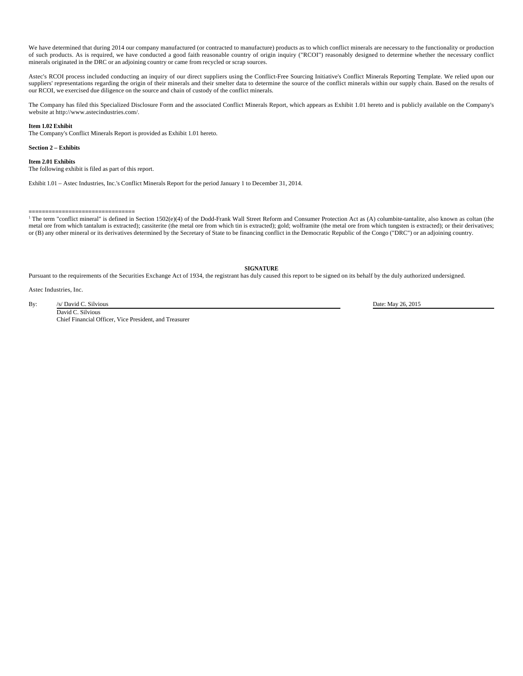We have determined that during 2014 our company manufactured (or contracted to manufacture) products as to which conflict minerals are necessary to the functionality or production of such products. As is required, we have conducted a good faith reasonable country of origin inquiry ("RCOI") reasonably designed to determine whether the necessary conflict minerals originated in the DRC or an adjoining country or came from recycled or scrap sources.

Astec's RCOI process included conducting an inquiry of our direct suppliers using the Conflict-Free Sourcing Initiative's Conflict Minerals Reporting Template. We relied upon our suppliers' representations regarding the origin of their minerals and their smelter data to determine the source of the conflict minerals within our supply chain. Based on the results of our RCOI, we exercised due diligence on the source and chain of custody of the conflict minerals.

The Company has filed this Specialized Disclosure Form and the associated Conflict Minerals Report, which appears as Exhibit 1.01 hereto and is publicly available on the Company's website at http://www.astecindustries.com/.

# **Item 1.02 Exhibit**

The Company's Conflict Minerals Report is provided as Exhibit 1.01 hereto.

# **Section 2 – Exhibits**

#### **Item 2.01 Exhibits**

The following exhibit is filed as part of this report.

Exhibit 1.01 – Astec Industries, Inc.'s Conflict Minerals Report for the period January 1 to December 31, 2014.

**================================** <sup>1</sup> The term "conflict mineral" is defined in Section 1502(e)(4) of the Dodd-Frank Wall Street Reform and Consumer Protection Act as (A) columbite-tantalite, also known as coltan (the metal ore from which tantalum is extracted); cassiterite (the metal ore from which tin is extracted); gold; wolframite (the metal ore from which tungsten is extracted); or their derivatives; or (B) any other mineral or its derivatives determined by the Secretary of State to be financing conflict in the Democratic Republic of the Congo ("DRC") or an adjoining country.

**SIGNATURE**

Pursuant to the requirements of the Securities Exchange Act of 1934, the registrant has duly caused this report to be signed on its behalf by the duly authorized undersigned.

Astec Industries, Inc.

By: /s/ David C. Silvious Date: May 26, 2015 David C. Silvious Chief Financial Officer, Vice President, and Treasurer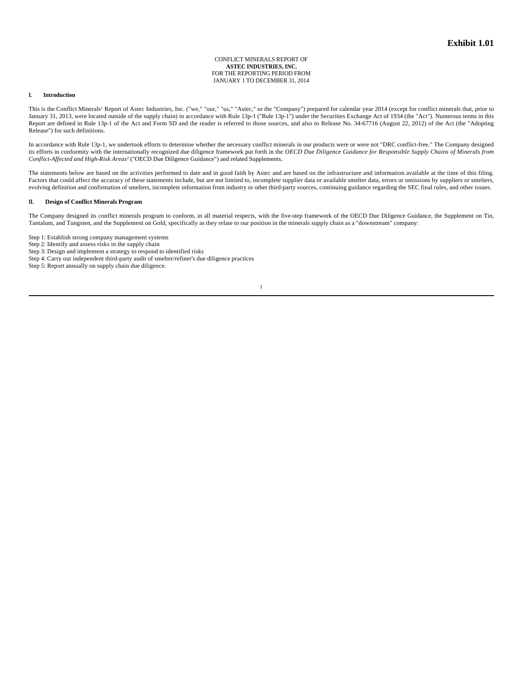CONFLICT MINERALS REPORT OF **ASTEC INDUSTRIES, INC.** FOR THE REPORTING PERIOD FROM JANUARY 1 TO DECEMBER 31, 2014

# **I. Introduction**

This is the Conflict Minerals<sup>1</sup> Report of Astec Industries, Inc. ("we," "our," "us," "Astec," or the "Company") prepared for calendar year 2014 (except for conflict minerals that, prior to January 31, 2013, were located outside of the supply chain) in accordance with Rule 13p-1 ("Rule 13p-1") under the Securities Exchange Act of 1934 (the "Act"). Numerous terms in this Report are defined in Rule 13p-1 of the Act and Form SD and the reader is referred to those sources, and also to Release No. 34-67716 (August 22, 2012) of the Act (the "Adopting Release") for such definitions.

In accordance with Rule 13p-1, we undertook efforts to determine whether the necessary conflict minerals in our products were or were not "DRC conflict-free." The Company designed its efforts in conformity with the internationally recognized due diligence framework put forth in the *OECD Due Diligence Guidance for Responsible Supply Chains of Minerals from Conflict-Affected and High-Risk Areas*<sup>2</sup> ("OECD Due Diligence Guidance") and related Supplements.

The statements below are based on the activities performed to date and in good faith by Astec and are based on the infrastructure and information available at the time of this filing. Factors that could affect the accuracy of these statements include, but are not limited to, incomplete supplier data or available smelter data, errors or omissions by suppliers or smelters, evolving definition and confirmation of smelters, incomplete information from industry or other third-party sources, continuing guidance regarding the SEC final rules, and other issues.

# **II. Design of Conflict Minerals Program**

The Company designed its conflict minerals program to conform, in all material respects, with the five-step framework of the OECD Due Diligence Guidance, the Supplement on Tin, Tantalum, and Tungsten, and the Supplement on Gold, specifically as they relate to our position in the minerals supply chain as a "downstream" company:

Step 1: Establish strong company management systems

Step 2: Identify and assess risks in the supply chain

Step 3: Design and implement a strategy to respond to identified risks

Step 4: Carry out independent third-party audit of smelter/refiner's due diligence practices

Step 5: Report annually on supply chain due diligence.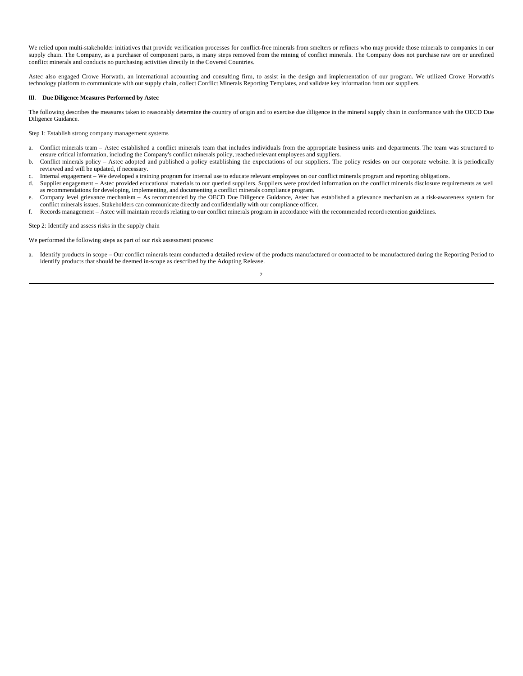We relied upon multi-stakeholder initiatives that provide verification processes for conflict-free minerals from smelters or refiners who may provide those minerals to companies in our supply chain. The Company, as a purchaser of component parts, is many steps removed from the mining of conflict minerals. The Company does not purchase raw ore or unrefined conflict minerals and conducts no purchasing activities directly in the Covered Countries.

Astec also engaged Crowe Horwath, an international accounting and consulting firm, to assist in the design and implementation of our program. We utilized Crowe Horwath's technology platform to communicate with our supply chain, collect Conflict Minerals Reporting Templates, and validate key information from our suppliers.

# **III. Due Diligence Measures Performed by Astec**

The following describes the measures taken to reasonably determine the country of origin and to exercise due diligence in the mineral supply chain in conformance with the OECD Due Diligence Guidance.

Step 1: Establish strong company management systems

- a. Conflict minerals team Astec established a conflict minerals team that includes individuals from the appropriate business units and departments. The team was structured to ensure critical information, including the Company's conflict minerals policy, reached relevant employees and suppliers.
- b. Conflict minerals policy Astec adopted and published a policy establishing the expectations of our suppliers. The policy resides on our corporate website. It is periodically reviewed and will be updated, if necessary.
- c. Internal engagement We developed a training program for internal use to educate relevant employees on our conflict minerals program and reporting obligations.
- d. Supplier engagement Astec provided educational materials to our queried suppliers. Suppliers were provided information on the conflict minerals disclosure requirements as well as recommendations for developing, implementing, and documenting a conflict minerals compliance program.
- e. Company level grievance mechanism As recommended by the OECD Due Diligence Guidance, Astec has established a grievance mechanism as a risk-awareness system for conflict minerals issues. Stakeholders can communicate directly and confidentially with our compliance officer.
- f. Records management Astec will maintain records relating to our conflict minerals program in accordance with the recommended record retention guidelines.

Step 2: Identify and assess risks in the supply chain

We performed the following steps as part of our risk assessment process:

2 a. Identify products in scope – Our conflict minerals team conducted a detailed review of the products manufactured or contracted to be manufactured during the Reporting Period to identify products that should be deemed in-scope as described by the Adopting Release.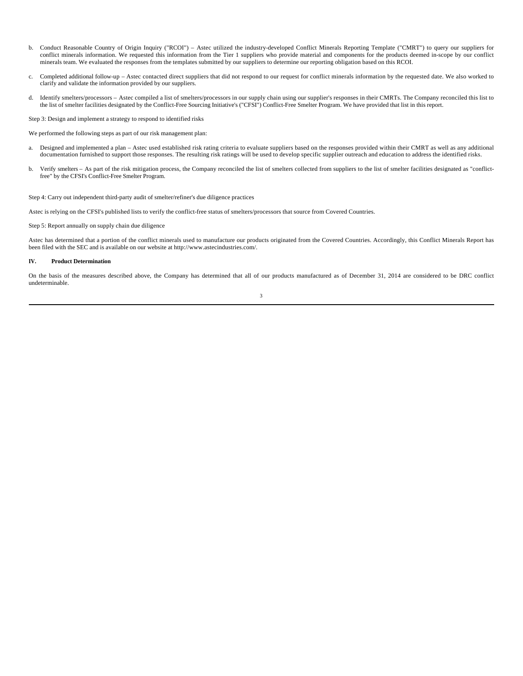- b. Conduct Reasonable Country of Origin Inquiry ("RCOI") Astec utilized the industry-developed Conflict Minerals Reporting Template ("CMRT") to query our suppliers for conflict minerals information. We requested this information from the Tier 1 suppliers who provide material and components for the products deemed in-scope by our conflict minerals team. We evaluated the responses from the templates submitted by our suppliers to determine our reporting obligation based on this RCOI.
- c. Completed additional follow-up Astec contacted direct suppliers that did not respond to our request for conflict minerals information by the requested date. We also worked to clarify and validate the information provided by our suppliers.
- d. Identify smelters/processors Astec compiled a list of smelters/processors in our supply chain using our supplier's responses in their CMRTs. The Company reconciled this list to the list of smelter facilities designated by the Conflict-Free Sourcing Initiative's ("CFSI") Conflict-Free Smelter Program. We have provided that list in this report.

Step 3: Design and implement a strategy to respond to identified risks

We performed the following steps as part of our risk management plan:

- a. Designed and implemented a plan Astec used established risk rating criteria to evaluate suppliers based on the responses provided within their CMRT as well as any additional documentation furnished to support those responses. The resulting risk ratings will be used to develop specific supplier outreach and education to address the identified risks.
- b. Verify smelters As part of the risk mitigation process, the Company reconciled the list of smelters collected from suppliers to the list of smelter facilities designated as "conflictfree" by the CFSI's Conflict-Free Smelter Program.

Step 4: Carry out independent third-party audit of smelter/refiner's due diligence practices

Astec is relying on the CFSI's published lists to verify the conflict-free status of smelters/processors that source from Covered Countries.

Step 5: Report annually on supply chain due diligence

Astec has determined that a portion of the conflict minerals used to manufacture our products originated from the Covered Countries. Accordingly, this Conflict Minerals Report has been filed with the SEC and is available on our website at http://www.astecindustries.com/.

# **IV. Product Determination**

On the basis of the measures described above, the Company has determined that all of our products manufactured as of December 31, 2014 are considered to be DRC conflict undeterminable.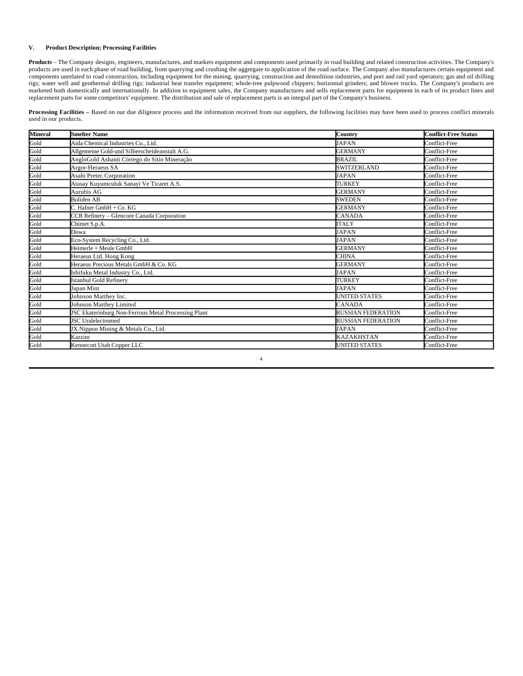# **V. Product Description; Processing Facilities**

**Products** – The Company designs, engineers, manufactures, and markets equipment and components used primarily in road building and related construction activities. The Company's products are used in each phase of road building, from quarrying and crushing the aggregate to application of the road surface. The Company also manufactures certain equipment and components unrelated to road construction, including equipment for the mining, quarrying, construction and demolition industries, and port and rail yard operators; gas and oil drilling rigs; water well and geothermal drilling rigs; industrial heat transfer equipment; whole-tree pulpwood chippers; horizontal grinders; and blower trucks. The Company's products are marketed both domestically and internationally. In addition to equipment sales, the Company manufactures and sells replacement parts for equipment in each of its product lines and replacement parts for some competitors' equipment. The distribution and sale of replacement parts is an integral part of the Company's business.

**Processing Facilities –** Based on our due diligence process and the information received from our suppliers, the following facilities may have been used to process conflict minerals used in our products.

| <b>Mineral</b> | <b>Smelter Name</b>                                 | Country                   | <b>Conflict-Free Status</b> |
|----------------|-----------------------------------------------------|---------------------------|-----------------------------|
| Gold           | Aida Chemical Industries Co., Ltd.                  | <b>JAPAN</b>              | Conflict-Free               |
| Gold           | Allgemeine Gold-und Silberscheideanstalt A.G.       | <b>GERMANY</b>            | Conflict-Free               |
| Gold           | AngloGold Ashanti Córrego do Sítio Mineração        | <b>BRAZIL</b>             | Conflict-Free               |
| Gold           | Argor-Heraeus SA                                    | SWITZERLAND               | Conflict-Free               |
| Gold           | Asahi Pretec Corporation                            | <b>JAPAN</b>              | Conflict-Free               |
| Gold           | Atasay Kuyumculuk Sanayi Ve Ticaret A.S.            | TURKEY                    | Conflict-Free               |
| Gold           | Aurubis AG                                          | <b>GERMANY</b>            | Conflict-Free               |
| Gold           | <b>Boliden AB</b>                                   | <b>SWEDEN</b>             | Conflict-Free               |
| Gold           | C. Hafner GmbH + Co. KG                             | <b>GERMANY</b>            | Conflict-Free               |
| Gold           | CCR Refinery - Glencore Canada Corporation          | <b>CANADA</b>             | Conflict-Free               |
| Gold           | Chimet S.p.A.                                       | <b>ITALY</b>              | Conflict-Free               |
| Gold           | Dowa                                                | <b>JAPAN</b>              | Conflict-Free               |
| Gold           | Eco-System Recycling Co., Ltd.                      | <b>JAPAN</b>              | Conflict-Free               |
| Gold           | Heimerle + Meule GmbH                               | <b>GERMANY</b>            | Conflict-Free               |
| Gold           | Heraeus Ltd. Hong Kong                              | <b>CHINA</b>              | Conflict-Free               |
| Gold           | Heraeus Precious Metals GmbH & Co. KG               | <b>GERMANY</b>            | Conflict-Free               |
| Gold           | Ishifuku Metal Industry Co., Ltd.                   | <b>JAPAN</b>              | Conflict-Free               |
| Gold           | <b>Istanbul Gold Refinery</b>                       | <b>TURKEY</b>             | Conflict-Free               |
| Gold           | Japan Mint                                          | <b>JAPAN</b>              | Conflict-Free               |
| Gold           | Johnson Matthey Inc.                                | <b>UNITED STATES</b>      | Conflict-Free               |
| Gold           | Johnson Matthey Limited                             | <b>CANADA</b>             | Conflict-Free               |
| Gold           | JSC Ekaterinburg Non-Ferrous Metal Processing Plant | RUSSIAN FEDERATION        | Conflict-Free               |
| Gold           | <b>JSC</b> Uralelectromed                           | <b>RUSSIAN FEDERATION</b> | Conflict-Free               |
| Gold           | JX Nippon Mining & Metals Co., Ltd.                 | <b>JAPAN</b>              | Conflict-Free               |
| Gold           | Kazzinc                                             | <b>KAZAKHSTAN</b>         | Conflict-Free               |
| Gold           | Kennecott Utah Copper LLC                           | <b>UNITED STATES</b>      | Conflict-Free               |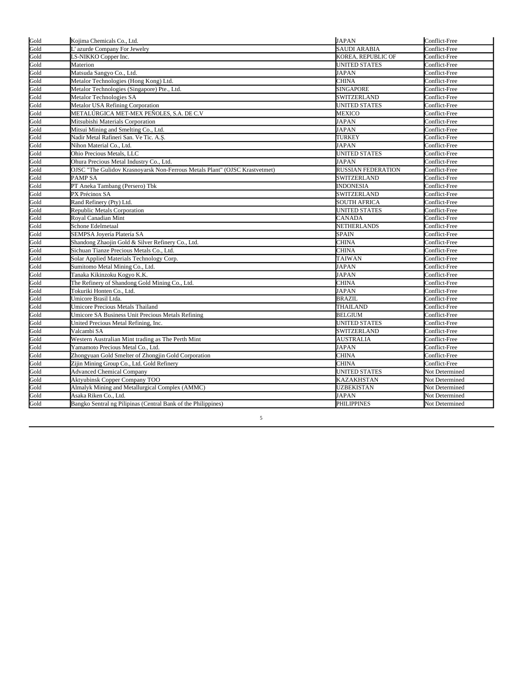|              | Kojima Chemicals Co., Ltd.                                                 | <b>JAPAN</b>              | Conflict-Free  |
|--------------|----------------------------------------------------------------------------|---------------------------|----------------|
| Gold<br>Gold | L'azurde Company For Jewelry                                               | <b>SAUDI ARABIA</b>       | Conflict-Free  |
| Gold         | LS-NIKKO Copper Inc.                                                       | KOREA, REPUBLIC OF        | Conflict-Free  |
| Gold         | Materion                                                                   | <b>UNITED STATES</b>      | Conflict-Free  |
| Gold         | Matsuda Sangyo Co., Ltd.                                                   | JAPAN                     | Conflict-Free  |
| Gold         | Metalor Technologies (Hong Kong) Ltd.                                      | CHINA                     | Conflict-Free  |
| Gold         | Metalor Technologies (Singapore) Pte., Ltd.                                | <b>SINGAPORE</b>          | Conflict-Free  |
| Gold         | Metalor Technologies SA                                                    | SWITZERLAND               | Conflict-Free  |
| Gold         | Metalor USA Refining Corporation                                           | UNITED STATES             | Conflict-Free  |
| Gold         | METALÚRGICA MET-MEX PEÑOLES, S.A. DE C.V                                   | MEXICO                    | Conflict-Free  |
| Gold         | Mitsubishi Materials Corporation                                           | <b>JAPAN</b>              | Conflict-Free  |
| Gold         | Mitsui Mining and Smelting Co., Ltd.                                       | <b>JAPAN</b>              | Conflict-Free  |
| Gold         | Nadir Metal Rafineri San. Ve Tic. A.Ş.                                     | TURKEY                    | Conflict-Free  |
| Gold         | Nihon Material Co., Ltd.                                                   | <b>JAPAN</b>              | Conflict-Free  |
| Gold         | Ohio Precious Metals, LLC                                                  | <b>UNITED STATES</b>      | Conflict-Free  |
| Gold         | Ohura Precious Metal Industry Co., Ltd.                                    | JAPAN                     | Conflict-Free  |
| Gold         | OJSC "The Gulidov Krasnoyarsk Non-Ferrous Metals Plant" (OJSC Krastvetmet) | <b>RUSSIAN FEDERATION</b> | Conflict-Free  |
| Gold         | PAMP SA                                                                    | SWITZERLAND               | Conflict-Free  |
| Gold         | PT Aneka Tambang (Persero) Tbk                                             | INDONESIA                 | Conflict-Free  |
| Gold         | PX Précinox SA                                                             | SWITZERLAND               | Conflict-Free  |
| Gold         | Rand Refinery (Pty) Ltd.                                                   | <b>SOUTH AFRICA</b>       | Conflict-Free  |
| Gold         | Republic Metals Corporation                                                | UNITED STATES             | Conflict-Free  |
| Gold         | Royal Canadian Mint                                                        | CANADA                    | Conflict-Free  |
| Gold         | Schone Edelmetaal                                                          | NETHERLANDS               | Conflict-Free  |
| Gold         | SEMPSA Jovería Platería SA                                                 | <b>SPAIN</b>              | Conflict-Free  |
| Gold         | Shandong Zhaojin Gold & Silver Refinery Co., Ltd.                          | CHINA                     | Conflict-Free  |
| Gold         | Sichuan Tianze Precious Metals Co., Ltd.                                   | CHINA                     | Conflict-Free  |
| Gold         | Solar Applied Materials Technology Corp.                                   | TAIWAN                    | Conflict-Free  |
| Gold         | Sumitomo Metal Mining Co., Ltd.                                            | JAPAN                     | Conflict-Free  |
| Gold         | Tanaka Kikinzoku Kogyo K.K.                                                | <b>JAPAN</b>              | Conflict-Free  |
| Gold         | The Refinery of Shandong Gold Mining Co., Ltd.                             | CHINA                     | Conflict-Free  |
| Gold         | Tokuriki Honten Co., Ltd.                                                  | <b>JAPAN</b>              | Conflict-Free  |
| Gold         | Umicore Brasil Ltda.                                                       | <b>BRAZIL</b>             | Conflict-Free  |
| Gold         | Umicore Precious Metals Thailand                                           | THAILAND                  | Conflict-Free  |
| Gold         | Umicore SA Business Unit Precious Metals Refining                          | <b>BELGIUM</b>            | Conflict-Free  |
| Gold         | United Precious Metal Refining, Inc.                                       | <b>UNITED STATES</b>      | Conflict-Free  |
| Gold         | Valcambi SA                                                                | SWITZERLAND               | Conflict-Free  |
| Gold         | Western Australian Mint trading as The Perth Mint                          | <b>AUSTRALIA</b>          | Conflict-Free  |
| Gold         | Yamamoto Precious Metal Co., Ltd.                                          | JAPAN                     | Conflict-Free  |
| Gold         | Zhongyuan Gold Smelter of Zhongjin Gold Corporation                        | CHINA                     | Conflict-Free  |
| Gold         | Zijin Mining Group Co., Ltd. Gold Refinery                                 | CHINA                     | Conflict-Free  |
| Gold         | <b>Advanced Chemical Company</b>                                           | UNITED STATES             | Not Determined |
| Gold         | Aktyubinsk Copper Company TOO                                              | <b>KAZAKHSTAN</b>         | Not Determined |
| Gold         | Almalyk Mining and Metallurgical Complex (AMMC)                            | <b>UZBEKISTAN</b>         | Not Determined |
| Gold         | Asaka Riken Co., Ltd.                                                      | JAPAN                     | Not Determined |
| Gold         | Bangko Sentral ng Pilipinas (Central Bank of the Philippines)              | <b>PHILIPPINES</b>        | Not Determined |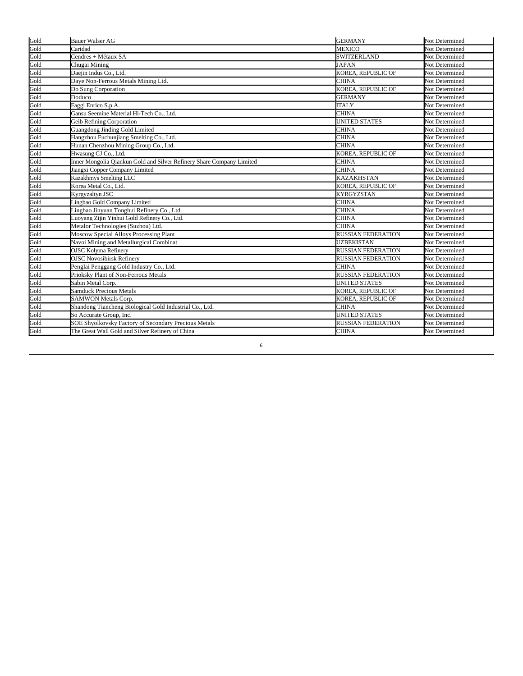| Gold | Bauer Walser AG                                                       | <b>GERMANY</b>            | Not Determined        |
|------|-----------------------------------------------------------------------|---------------------------|-----------------------|
| Gold | Caridad                                                               | <b>MEXICO</b>             | Not Determined        |
| Gold | Cendres + Métaux SA                                                   | <b>SWITZERLAND</b>        | Not Determined        |
| Gold | Chugai Mining                                                         | <b>JAPAN</b>              | Not Determined        |
| Gold | Daejin Indus Co., Ltd.                                                | KOREA, REPUBLIC OF        | Not Determined        |
| Gold | Daye Non-Ferrous Metals Mining Ltd.                                   | <b>CHINA</b>              | Not Determined        |
| Gold | Do Sung Corporation                                                   | KOREA, REPUBLIC OF        | Not Determined        |
| Gold | Doduco                                                                | <b>GERMANY</b>            | Not Determined        |
| Gold | Faggi Enrico S.p.A.                                                   | <b>ITALY</b>              | Not Determined        |
| Gold | Gansu Seemine Material Hi-Tech Co., Ltd.                              | <b>CHINA</b>              | Not Determined        |
| Gold | Geib Refining Corporation                                             | <b>UNITED STATES</b>      | Not Determined        |
| Gold | <b>Guangdong Jinding Gold Limited</b>                                 | <b>CHINA</b>              | Not Determined        |
| Gold | Hangzhou Fuchunjiang Smelting Co., Ltd.                               | <b>CHINA</b>              | <b>Not Determined</b> |
| Gold | Hunan Chenzhou Mining Group Co., Ltd.                                 | <b>CHINA</b>              | <b>Not Determined</b> |
| Gold | Hwasung CJ Co., Ltd.                                                  | KOREA, REPUBLIC OF        | Not Determined        |
| Gold | Inner Mongolia Qiankun Gold and Silver Refinery Share Company Limited | <b>CHINA</b>              | Not Determined        |
| Gold | Jiangxi Copper Company Limited                                        | <b>CHINA</b>              | <b>Not Determined</b> |
| Gold | Kazakhmys Smelting LLC                                                | <b>KAZAKHSTAN</b>         | Not Determined        |
| Gold | Korea Metal Co., Ltd.                                                 | KOREA, REPUBLIC OF        | Not Determined        |
| Gold | Kyrgyzaltyn JSC                                                       | <b>KYRGYZSTAN</b>         | Not Determined        |
| Gold | Lingbao Gold Company Limited                                          | <b>CHINA</b>              | Not Determined        |
| Gold | Lingbao Jinyuan Tonghui Refinery Co., Ltd.                            | <b>CHINA</b>              | Not Determined        |
| Gold | Luoyang Zijin Yinhui Gold Refinery Co., Ltd.                          | <b>CHINA</b>              | Not Determined        |
| Gold | Metalor Technologies (Suzhou) Ltd.                                    | <b>CHINA</b>              | Not Determined        |
| Gold | <b>Moscow Special Alloys Processing Plant</b>                         | <b>RUSSIAN FEDERATION</b> | Not Determined        |
| Gold | Navoi Mining and Metallurgical Combinat                               | <b>UZBEKISTAN</b>         | Not Determined        |
| Gold | <b>OJSC Kolyma Refinery</b>                                           | <b>RUSSIAN FEDERATION</b> | Not Determined        |
| Gold | <b>OJSC Novosibirsk Refinery</b>                                      | RUSSIAN FEDERATION        | Not Determined        |
| Gold | Penglai Penggang Gold Industry Co., Ltd.                              | <b>CHINA</b>              | Not Determined        |
| Gold | Prioksky Plant of Non-Ferrous Metals                                  | <b>RUSSIAN FEDERATION</b> | Not Determined        |
| Gold | Sabin Metal Corp.                                                     | <b>UNITED STATES</b>      | Not Determined        |
| Gold | <b>Samduck Precious Metals</b>                                        | KOREA, REPUBLIC OF        | Not Determined        |
| Gold | SAMWON Metals Corp.                                                   | KOREA, REPUBLIC OF        | Not Determined        |
| Gold | Shandong Tiancheng Biological Gold Industrial Co., Ltd.               | <b>CHINA</b>              | Not Determined        |
| Gold | So Accurate Group, Inc.                                               | <b>UNITED STATES</b>      | Not Determined        |
| Gold | SOE Shyolkovsky Factory of Secondary Precious Metals                  | <b>RUSSIAN FEDERATION</b> | Not Determined        |
| Gold | The Great Wall Gold and Silver Refinery of China                      | <b>CHINA</b>              | <b>Not Determined</b> |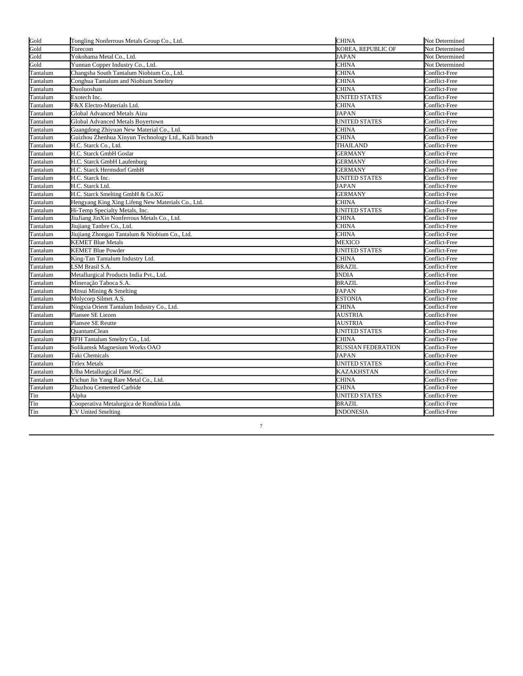| Gold     | Tongling Nonferrous Metals Group Co., Ltd.           | <b>CHINA</b>              | Not Determined |
|----------|------------------------------------------------------|---------------------------|----------------|
| Gold     | Torecom                                              | KOREA, REPUBLIC OF        | Not Determined |
| Gold     | Yokohama Metal Co., Ltd.                             | JAPAN                     | Not Determined |
| Gold     | Yunnan Copper Industry Co., Ltd.                     | CHINA                     | Not Determined |
| Tantalum | Changsha South Tantalum Niobium Co., Ltd.            | CHINA                     | Conflict-Free  |
| Tantalum | Conghua Tantalum and Niobium Smeltry                 | CHINA                     | Conflict-Free  |
| Tantalum | Duoluoshan                                           | CHINA                     | Conflict-Free  |
| Tantalum | Exotech Inc.                                         | UNITED STATES             | Conflict-Free  |
| Tantalum | F&X Electro-Materials Ltd.                           | CHINA                     | Conflict-Free  |
| Tantalum | Global Advanced Metals Aizu                          | JAPAN                     | Conflict-Free  |
| Tantalum | Global Advanced Metals Boyertown                     | UNITED STATES             | Conflict-Free  |
| Tantalum | Guangdong Zhiyuan New Material Co., Ltd.             | CHINA                     | Conflict-Free  |
| Tantalum | Guizhou Zhenhua Xinyun Technology Ltd., Kaili branch | CHINA                     | Conflict-Free  |
| Tantalum | H.C. Starck Co., Ltd.                                | THAILAND                  | Conflict-Free  |
| Tantalum | H.C. Starck GmbH Goslar                              | <b>GERMANY</b>            | Conflict-Free  |
| Tantalum | H.C. Starck GmbH Laufenburg                          | GERMANY                   | Conflict-Free  |
| Tantalum | H.C. Starck Hermsdorf GmbH                           | <b>GERMANY</b>            | Conflict-Free  |
| Tantalum | H.C. Starck Inc.                                     | <b>UNITED STATES</b>      | Conflict-Free  |
| Tantalum | H.C. Starck Ltd.                                     | JAPAN                     | Conflict-Free  |
| Tantalum | H.C. Starck Smelting GmbH & Co.KG                    | GERMANY                   | Conflict-Free  |
| Tantalum | Hengyang King Xing Lifeng New Materials Co., Ltd.    | <b>CHINA</b>              | Conflict-Free  |
| Tantalum | Hi-Temp Specialty Metals, Inc.                       | UNITED STATES             | Conflict-Free  |
| Tantalum | JiuJiang JinXin Nonferrous Metals Co., Ltd.          | CHINA                     | Conflict-Free  |
| Tantalum | Jiuiiang Tanbre Co., Ltd.                            | CHINA                     | Conflict-Free  |
| Tantalum | Jiujiang Zhongao Tantalum & Niobium Co., Ltd.        | CHINA                     | Conflict-Free  |
| Tantalum | <b>KEMET Blue Metals</b>                             | MEXICO                    | Conflict-Free  |
| Tantalum | <b>KEMET Blue Powder</b>                             | UNITED STATES             | Conflict-Free  |
| Tantalum | King-Tan Tantalum Industry Ltd.                      | CHINA                     | Conflict-Free  |
| Tantalum | LSM Brasil S.A.                                      | <b>BRAZIL</b>             | Conflict-Free  |
| Tantalum | Metallurgical Products India Pvt., Ltd.              | <b>INDIA</b>              | Conflict-Free  |
| Tantalum | Mineração Taboca S.A.                                | <b>BRAZIL</b>             | Conflict-Free  |
| Tantalum | Mitsui Mining & Smelting                             | JAPAN                     | Conflict-Free  |
| Tantalum | Molycorp Silmet A.S.                                 | <b>ESTONIA</b>            | Conflict-Free  |
| Tantalum | Ningxia Orient Tantalum Industry Co., Ltd.           | CHINA                     | Conflict-Free  |
| Tantalum | Plansee SE Liezen                                    | AUSTRIA                   | Conflict-Free  |
| Tantalum | Plansee SE Reutte                                    | AUSTRIA                   | Conflict-Free  |
| Tantalum | OuantumClean                                         | <b>UNITED STATES</b>      | Conflict-Free  |
| Tantalum | RFH Tantalum Smeltry Co., Ltd.                       | CHINA                     | Conflict-Free  |
| Tantalum | Solikamsk Magnesium Works OAO                        | <b>RUSSIAN FEDERATION</b> | Conflict-Free  |
| Tantalum | Taki Chemicals                                       | <b>JAPAN</b>              | Conflict-Free  |
| Tantalum | Telex Metals                                         | <b>UNITED STATES</b>      | Conflict-Free  |
| Tantalum | <b>Ulba Metallurgical Plant JSC</b>                  | <b>KAZAKHSTAN</b>         | Conflict-Free  |
| Tantalum | Yichun Jin Yang Rare Metal Co., Ltd.                 | CHINA                     | Conflict-Free  |
| Tantalum | Zhuzhou Cemented Carbide                             | CHINA                     | Conflict-Free  |
| Tin      | Alpha                                                | UNITED STATES             | Conflict-Free  |
| Tin      | Cooperativa Metalurgica de Rondônia Ltda.            | <b>BRAZIL</b>             | Conflict-Free  |
| Tin      | <b>CV United Smelting</b>                            | <b>INDONESIA</b>          | Conflict-Free  |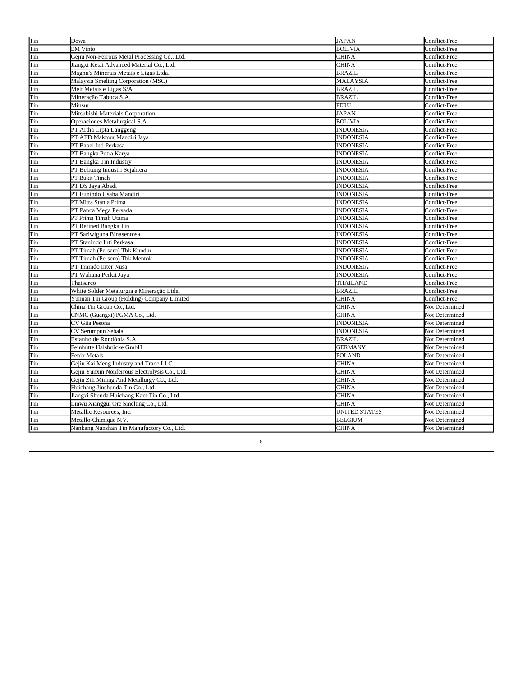| Tin | Dowa                                           | <b>JAPAN</b>         | Conflict-Free  |
|-----|------------------------------------------------|----------------------|----------------|
| Tin | <b>EM Vinto</b>                                | <b>BOLIVIA</b>       | Conflict-Free  |
| Tin | Gejiu Non-Ferrous Metal Processing Co., Ltd.   | <b>CHINA</b>         | Conflict-Free  |
| Tin | Jiangxi Ketai Advanced Material Co., Ltd.      | <b>CHINA</b>         | Conflict-Free  |
| Tin | Magnu's Minerais Metais e Ligas Ltda.          | <b>BRAZIL</b>        | Conflict-Free  |
| Tin | Malaysia Smelting Corporation (MSC)            | <b>MALAYSIA</b>      | Conflict-Free  |
| Tin | Melt Metais e Ligas S/A                        | <b>BRAZIL</b>        | Conflict-Free  |
| Tin | Mineração Taboca S.A.                          | <b>BRAZIL</b>        | Conflict-Free  |
| Tin | Minsur                                         | PERU                 | Conflict-Free  |
| Tin | Mitsubishi Materials Corporation               | <b>JAPAN</b>         | Conflict-Free  |
| Tin | Operaciones Metalurgical S.A.                  | <b>BOLIVIA</b>       | Conflict-Free  |
| Tin | PT Artha Cipta Langgeng                        | <b>INDONESIA</b>     | Conflict-Free  |
| Tin | PT ATD Makmur Mandiri Java                     | <b>INDONESIA</b>     | Conflict-Free  |
| Tin | PT Babel Inti Perkasa                          | INDONESIA            | Conflict-Free  |
| Tin | PT Bangka Putra Karya                          | INDONESIA            | Conflict-Free  |
| Tin | PT Bangka Tin Industry                         | INDONESIA            | Conflict-Free  |
| Tin | PT Belitung Industri Sejahtera                 | INDONESIA            | Conflict-Free  |
| Tin | PT Bukit Timah                                 | <b>INDONESIA</b>     | Conflict-Free  |
| Tin | PT DS Jaya Abadi                               | INDONESIA            | Conflict-Free  |
| Tin | PT Eunindo Usaha Mandiri                       | <b>INDONESIA</b>     | Conflict-Free  |
| Tin | PT Mitra Stania Prima                          | <b>INDONESIA</b>     | Conflict-Free  |
| Tin | PT Panca Mega Persada                          | <b>INDONESIA</b>     | Conflict-Free  |
| Tin | PT Prima Timah Utama                           | INDONESIA            | Conflict-Free  |
| Tin | PT Refined Bangka Tin                          | INDONESIA            | Conflict-Free  |
| Tin | PT Sariwiguna Binasentosa                      | INDONESIA            | Conflict-Free  |
| Tin | PT Stanindo Inti Perkasa                       | INDONESIA            | Conflict-Free  |
| Tin | PT Timah (Persero) Tbk Kundur                  | <b>INDONESIA</b>     | Conflict-Free  |
| Tin | PT Timah (Persero) Tbk Mentok                  | <b>INDONESIA</b>     | Conflict-Free  |
| Tin | PT Tinindo Inter Nusa                          | <b>INDONESIA</b>     | Conflict-Free  |
| Tin | PT Wahana Perkit Jaya                          | <b>INDONESIA</b>     | Conflict-Free  |
| Tin | Thaisarco                                      | THAILAND             | Conflict-Free  |
| Tin | White Solder Metalurgia e Mineração Ltda.      | <b>BRAZIL</b>        | Conflict-Free  |
| Tin | Yunnan Tin Group (Holding) Company Limited     | <b>CHINA</b>         | Conflict-Free  |
| Tin | China Tin Group Co., Ltd.                      | <b>CHINA</b>         | Not Determined |
| Tin | CNMC (Guangxi) PGMA Co., Ltd.                  | <b>CHINA</b>         | Not Determined |
| Tin | CV Gita Pesona                                 | INDONESIA            | Not Determined |
| Tin | CV Serumpun Sebalai                            | <b>INDONESIA</b>     | Not Determined |
| Tin | Estanho de Rondônia S.A.                       | BRAZIL               | Not Determined |
| Tin | Feinhütte Halsbrücke GmbH                      | <b>GERMANY</b>       | Not Determined |
| Tin | Fenix Metals                                   | <b>POLAND</b>        | Not Determined |
| Tin | Gejiu Kai Meng Industry and Trade LLC          | <b>CHINA</b>         | Not Determined |
| Tin | Gejiu Yunxin Nonferrous Electrolysis Co., Ltd. | <b>CHINA</b>         | Not Determined |
| Tin | Gejiu Zili Mining And Metallurgy Co., Ltd.     | <b>CHINA</b>         | Not Determined |
| Tin | Huichang Jinshunda Tin Co., Ltd.               | <b>CHINA</b>         | Not Determined |
| Tin | Jiangxi Shunda Huichang Kam Tin Co., Ltd.      | <b>CHINA</b>         | Not Determined |
| Tin | Linwu Xianggui Ore Smelting Co., Ltd.          | <b>CHINA</b>         | Not Determined |
| Tin | Metallic Resources, Inc.                       | <b>UNITED STATES</b> | Not Determined |
| Tin | Metallo-Chimique N.V.                          | BELGIUM              | Not Determined |
| Tin | Nankang Nanshan Tin Manufactory Co., Ltd.      | <b>CHINA</b>         | Not Determined |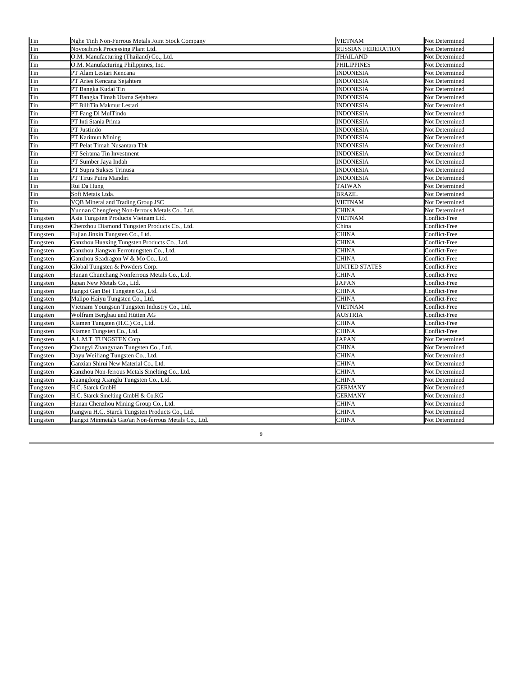| Tin      | Nghe Tinh Non-Ferrous Metals Joint Stock Company      | <b>VIETNAM</b>            | Not Determined |
|----------|-------------------------------------------------------|---------------------------|----------------|
| Tin      | Novosibirsk Processing Plant Ltd.                     | <b>RUSSIAN FEDERATION</b> | Not Determined |
| Tin      | O.M. Manufacturing (Thailand) Co., Ltd.               | THAILAND                  | Not Determined |
| Tin      | O.M. Manufacturing Philippines, Inc.                  | PHILIPPINES               | Not Determined |
| Tin      | PT Alam Lestari Kencana                               | <b>INDONESIA</b>          | Not Determined |
| Tin      | PT Aries Kencana Sejahtera                            | <b>INDONESIA</b>          | Not Determined |
| Tin      | PT Bangka Kudai Tin                                   | <b>INDONESIA</b>          | Not Determined |
| Tin      | PT Bangka Timah Utama Sejahtera                       | <b>INDONESIA</b>          | Not Determined |
| Tin      | PT BilliTin Makmur Lestari                            | <b>INDONESIA</b>          | Not Determined |
| Tin      | PT Fang Di MulTindo                                   | <b>INDONESIA</b>          | Not Determined |
| Tin      | PT Inti Stania Prima                                  | <b>INDONESIA</b>          | Not Determined |
| Tin      | PT Justindo                                           | <b>INDONESIA</b>          | Not Determined |
| Tin      | PT Karimun Mining                                     | <b>INDONESIA</b>          | Not Determined |
| Tin      | PT Pelat Timah Nusantara Tbk                          | <b>INDONESIA</b>          | Not Determined |
| Tin      | PT Seirama Tin Investment                             | <b>INDONESIA</b>          | Not Determined |
| Tin      | PT Sumber Jaya Indah                                  | <b>INDONESIA</b>          | Not Determined |
| Tin      | PT Supra Sukses Trinusa                               | <b>INDONESIA</b>          | Not Determined |
| Tin      | PT Tirus Putra Mandiri                                | <b>INDONESIA</b>          | Not Determined |
| Tin      | Rui Da Hung                                           | <b>TAIWAN</b>             | Not Determined |
| Tin      | Soft Metais Ltda.                                     | <b>BRAZIL</b>             | Not Determined |
| Tin      | VQB Mineral and Trading Group JSC                     | <b>VIETNAM</b>            | Not Determined |
| Tin      | Yunnan Chengfeng Non-ferrous Metals Co., Ltd.         | CHINA                     | Not Determined |
| Tungsten | Asia Tungsten Products Vietnam Ltd.                   | <b>VIETNAM</b>            | Conflict-Free  |
| Tungsten | Chenzhou Diamond Tungsten Products Co., Ltd.          | China                     | Conflict-Free  |
| Tungsten | Fujian Jinxin Tungsten Co., Ltd.                      | CHINA                     | Conflict-Free  |
| Tungsten | Ganzhou Huaxing Tungsten Products Co., Ltd.           | CHINA                     | Conflict-Free  |
| Tungsten | Ganzhou Jiangwu Ferrotungsten Co., Ltd.               | CHINA                     | Conflict-Free  |
| Tungsten | Ganzhou Seadragon W & Mo Co., Ltd.                    | <b>CHINA</b>              | Conflict-Free  |
| Tungsten | Global Tungsten & Powders Corp.                       | <b>UNITED STATES</b>      | Conflict-Free  |
| Tungsten | Hunan Chunchang Nonferrous Metals Co., Ltd.           | CHINA                     | Conflict-Free  |
| Tungsten | Japan New Metals Co., Ltd.                            | <b>JAPAN</b>              | Conflict-Free  |
| Tungsten | Jiangxi Gan Bei Tungsten Co., Ltd.                    | CHINA                     | Conflict-Free  |
| Tungsten | Malipo Haiyu Tungsten Co., Ltd.                       | CHINA                     | Conflict-Free  |
| Tungsten | Vietnam Youngsun Tungsten Industry Co., Ltd.          | VIETNAM                   | Conflict-Free  |
| Tungsten | Wolfram Bergbau und Hütten AG                         | <b>AUSTRIA</b>            | Conflict-Free  |
| Tungsten | Xiamen Tungsten (H.C.) Co., Ltd.                      | CHINA                     | Conflict-Free  |
| Tungsten | Xiamen Tungsten Co., Ltd.                             | CHINA                     | Conflict-Free  |
| Tungsten | A.L.M.T. TUNGSTEN Corp.                               | <b>JAPAN</b>              | Not Determined |
| Tungsten | Chongyi Zhangyuan Tungsten Co., Ltd.                  | CHINA                     | Not Determined |
| Tungsten | Dayu Weiliang Tungsten Co., Ltd.                      | CHINA                     | Not Determined |
| Tungsten | Ganxian Shirui New Material Co., Ltd.                 | CHINA                     | Not Determined |
| Tungsten | Ganzhou Non-ferrous Metals Smelting Co., Ltd.         | <b>CHINA</b>              | Not Determined |
| Tungsten | Guangdong Xianglu Tungsten Co., Ltd.                  | CHINA                     | Not Determined |
| Tungsten | H.C. Starck GmbH                                      | GERMANY                   | Not Determined |
| Tungsten | H.C. Starck Smelting GmbH & Co.KG                     | <b>GERMANY</b>            | Not Determined |
| Tungsten | Hunan Chenzhou Mining Group Co., Ltd.                 | CHINA                     | Not Determined |
| Tungsten | Jiangwu H.C. Starck Tungsten Products Co., Ltd.       | CHINA                     | Not Determined |
| Tungsten | Jiangxi Minmetals Gao'an Non-ferrous Metals Co., Ltd. | CHINA                     | Not Determined |